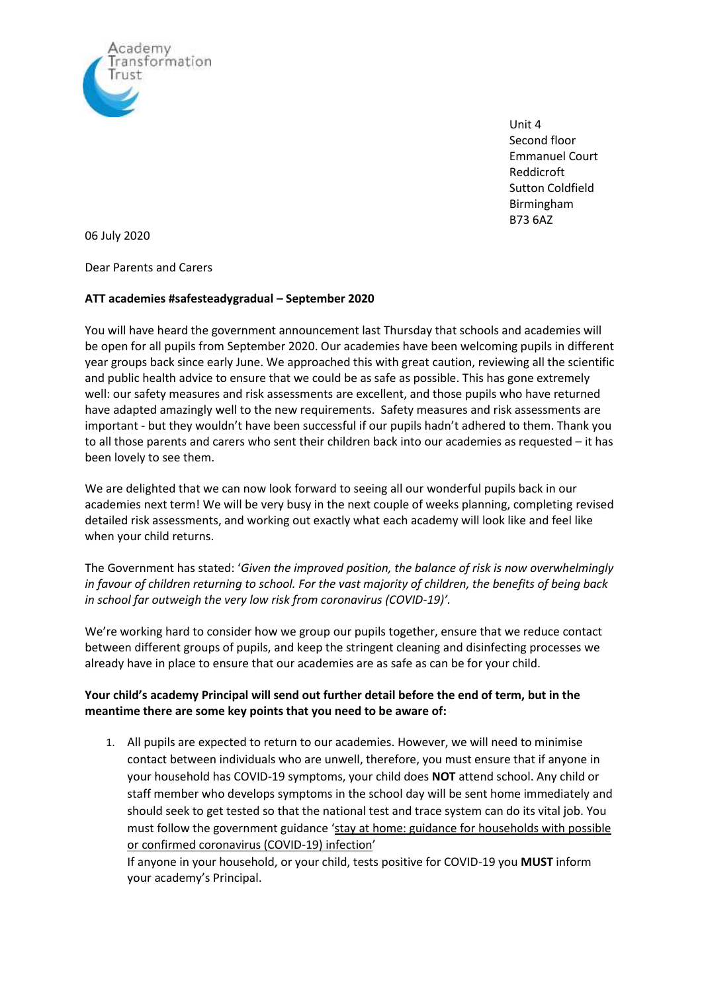

Unit 4 Second floor Emmanuel Court Reddicroft Sutton Coldfield Birmingham B73 6AZ

06 July 2020

Dear Parents and Carers

## **ATT academies #safesteadygradual – September 2020**

You will have heard the government announcement last Thursday that schools and academies will be open for all pupils from September 2020. Our academies have been welcoming pupils in different year groups back since early June. We approached this with great caution, reviewing all the scientific and public health advice to ensure that we could be as safe as possible. This has gone extremely well: our safety measures and risk assessments are excellent, and those pupils who have returned have adapted amazingly well to the new requirements. Safety measures and risk assessments are important - but they wouldn't have been successful if our pupils hadn't adhered to them. Thank you to all those parents and carers who sent their children back into our academies as requested – it has been lovely to see them.

We are delighted that we can now look forward to seeing all our wonderful pupils back in our academies next term! We will be very busy in the next couple of weeks planning, completing revised detailed risk assessments, and working out exactly what each academy will look like and feel like when your child returns.

The Government has stated: '*Given the improved position, the balance of risk is now overwhelmingly in favour of children returning to school. For the vast majority of children, the benefits of being back in school far outweigh the very low risk from coronavirus (COVID-19)'.*

We're working hard to consider how we group our pupils together, ensure that we reduce contact between different groups of pupils, and keep the stringent cleaning and disinfecting processes we already have in place to ensure that our academies are as safe as can be for your child.

## **Your child's academy Principal will send out further detail before the end of term, but in the meantime there are some key points that you need to be aware of:**

1. All pupils are expected to return to our academies. However, we will need to minimise contact between individuals who are unwell, therefore, you must ensure that if anyone in your household has COVID-19 symptoms, your child does **NOT** attend school. Any child or staff member who develops symptoms in the school day will be sent home immediately and should seek to get tested so that the national test and trace system can do its vital job. You must follow the government guidance 'stay at home: guidance for [households](https://www.gov.uk/government/publications/covid-19-stay-at-home-guidance) with possible or confirmed [coronavirus](https://www.gov.uk/government/publications/covid-19-stay-at-home-guidance) (COVID-19) infection'

If anyone in your household, or your child, tests positive for COVID-19 you **MUST** inform your academy's Principal.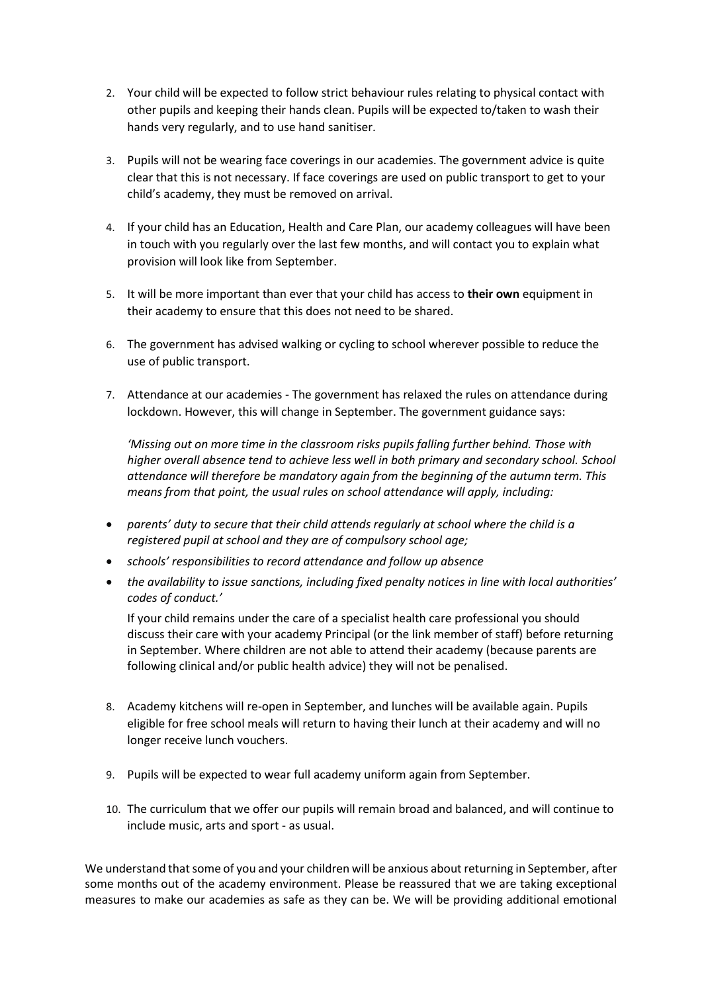- 2. Your child will be expected to follow strict behaviour rules relating to physical contact with other pupils and keeping their hands clean. Pupils will be expected to/taken to wash their hands very regularly, and to use hand sanitiser.
- 3. Pupils will not be wearing face coverings in our academies. The government advice is quite clear that this is not necessary. If face coverings are used on public transport to get to your child's academy, they must be removed on arrival.
- 4. If your child has an Education, Health and Care Plan, our academy colleagues will have been in touch with you regularly over the last few months, and will contact you to explain what provision will look like from September.
- 5. It will be more important than ever that your child has access to **their own** equipment in their academy to ensure that this does not need to be shared.
- 6. The government has advised walking or cycling to school wherever possible to reduce the use of public transport.
- 7. Attendance at our academies The government has relaxed the rules on attendance during lockdown. However, this will change in September. The government guidance says:

*'Missing out on more time in the classroom risks pupils falling further behind. Those with higher overall absence tend to achieve less well in both primary and secondary school. School attendance will therefore be mandatory again from the beginning of the autumn term. This means from that point, the usual rules on school attendance will apply, including:*

- *parents' duty to secure that their child attends regularly at school where the child is a registered pupil at school and they are of compulsory school age;*
- *schools' responsibilities to record attendance and follow up absence*
- *the availability to issue sanctions, including fixed penalty notices in line with local authorities' codes of conduct.'*

If your child remains under the care of a specialist health care professional you should discuss their care with your academy Principal (or the link member of staff) before returning in September. Where children are not able to attend their academy (because parents are following clinical and/or public health advice) they will not be penalised.

- 8. Academy kitchens will re-open in September, and lunches will be available again. Pupils eligible for free school meals will return to having their lunch at their academy and will no longer receive lunch vouchers.
- 9. Pupils will be expected to wear full academy uniform again from September.
- 10. The curriculum that we offer our pupils will remain broad and balanced, and will continue to include music, arts and sport - as usual.

We understand that some of you and your children will be anxious about returning in September, after some months out of the academy environment. Please be reassured that we are taking exceptional measures to make our academies as safe as they can be. We will be providing additional emotional